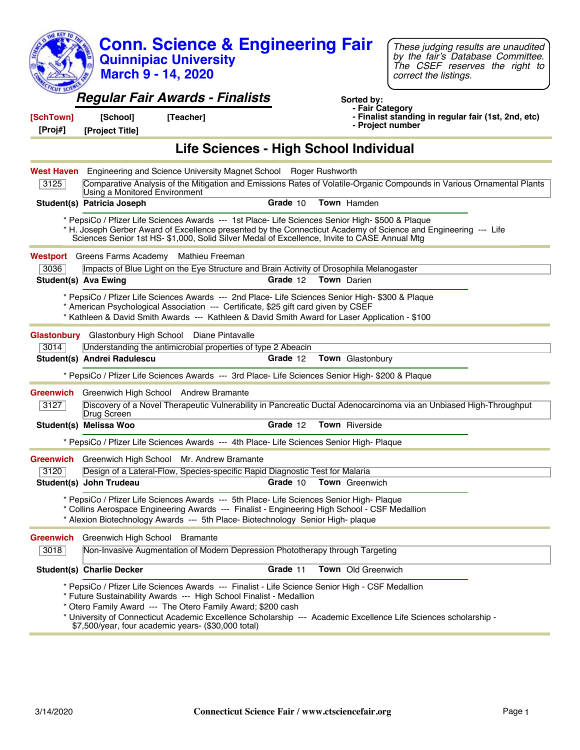| <b>KEY TO</b>       | <b>Conn. Science &amp; Engineering Fair</b><br><b>Quinnipiac University</b><br><b>March 9 - 14, 2020</b>                                                                                                                                                                                                                                                                                                        |          |                               | These judging results are unaudited<br>by the fair's Database Committee.<br>The CSEF reserves the right to<br>correct the listings. |  |
|---------------------|-----------------------------------------------------------------------------------------------------------------------------------------------------------------------------------------------------------------------------------------------------------------------------------------------------------------------------------------------------------------------------------------------------------------|----------|-------------------------------|-------------------------------------------------------------------------------------------------------------------------------------|--|
| CUT SC<br>[SchTown] | <b>Regular Fair Awards - Finalists</b><br>[School]<br>[Teacher]                                                                                                                                                                                                                                                                                                                                                 |          | Sorted by:<br>- Fair Category | - Finalist standing in regular fair (1st, 2nd, etc)                                                                                 |  |
| [Proj#]             | [Project Title]                                                                                                                                                                                                                                                                                                                                                                                                 |          | - Project number              |                                                                                                                                     |  |
|                     | Life Sciences - High School Individual                                                                                                                                                                                                                                                                                                                                                                          |          |                               |                                                                                                                                     |  |
|                     | <b>West Haven</b> Engineering and Science University Magnet School Roger Rushworth                                                                                                                                                                                                                                                                                                                              |          |                               |                                                                                                                                     |  |
| 3125                | Comparative Analysis of the Mitigation and Emissions Rates of Volatile-Organic Compounds in Various Ornamental Plants<br>Using a Monitored Environment                                                                                                                                                                                                                                                          |          |                               |                                                                                                                                     |  |
|                     | Student(s) Patricia Joseph                                                                                                                                                                                                                                                                                                                                                                                      | Grade 10 | Town Hamden                   |                                                                                                                                     |  |
|                     | * PepsiCo / Pfizer Life Sciences Awards --- 1st Place- Life Sciences Senior High- \$500 & Plaque<br>* H. Joseph Gerber Award of Excellence presented by the Connecticut Academy of Science and Engineering --- Life<br>Sciences Senior 1st HS- \$1,000, Solid Silver Medal of Excellence, Invite to CASE Annual Mtg                                                                                             |          |                               |                                                                                                                                     |  |
|                     | <b>Westport</b> Greens Farms Academy Mathieu Freeman                                                                                                                                                                                                                                                                                                                                                            |          |                               |                                                                                                                                     |  |
| 3036                | Impacts of Blue Light on the Eye Structure and Brain Activity of Drosophila Melanogaster                                                                                                                                                                                                                                                                                                                        |          |                               |                                                                                                                                     |  |
|                     | <b>Student(s) Ava Ewing</b>                                                                                                                                                                                                                                                                                                                                                                                     | Grade 12 | <b>Town</b> Darien            |                                                                                                                                     |  |
|                     | * PepsiCo / Pfizer Life Sciences Awards --- 2nd Place- Life Sciences Senior High- \$300 & Plaque<br>* American Psychological Association --- Certificate, \$25 gift card given by CSEF<br>* Kathleen & David Smith Awards --- Kathleen & David Smith Award for Laser Application - \$100                                                                                                                        |          |                               |                                                                                                                                     |  |
| Glastonbury         | Glastonbury High School Diane Pintavalle                                                                                                                                                                                                                                                                                                                                                                        |          |                               |                                                                                                                                     |  |
| 3014                | Understanding the antimicrobial properties of type 2 Abeacin                                                                                                                                                                                                                                                                                                                                                    |          |                               |                                                                                                                                     |  |
|                     | Student(s) Andrei Radulescu                                                                                                                                                                                                                                                                                                                                                                                     | Grade 12 | Town Glastonbury              |                                                                                                                                     |  |
|                     | * PepsiCo / Pfizer Life Sciences Awards --- 3rd Place- Life Sciences Senior High- \$200 & Plaque                                                                                                                                                                                                                                                                                                                |          |                               |                                                                                                                                     |  |
|                     | <b>Greenwich</b> Greenwich High School Andrew Bramante                                                                                                                                                                                                                                                                                                                                                          |          |                               |                                                                                                                                     |  |
| 3127                | Discovery of a Novel Therapeutic Vulnerability in Pancreatic Ductal Adenocarcinoma via an Unbiased High-Throughput<br>Drug Screen                                                                                                                                                                                                                                                                               |          |                               |                                                                                                                                     |  |
|                     | Student(s) Melissa Woo                                                                                                                                                                                                                                                                                                                                                                                          | Grade 12 | Town Riverside                |                                                                                                                                     |  |
|                     | * PepsiCo / Pfizer Life Sciences Awards --- 4th Place- Life Sciences Senior High- Plaque                                                                                                                                                                                                                                                                                                                        |          |                               |                                                                                                                                     |  |
| <b>Greenwich</b>    | Greenwich High School Mr. Andrew Bramante                                                                                                                                                                                                                                                                                                                                                                       |          |                               |                                                                                                                                     |  |
| 3120                | Design of a Lateral-Flow, Species-specific Rapid Diagnostic Test for Malaria                                                                                                                                                                                                                                                                                                                                    |          |                               |                                                                                                                                     |  |
|                     | Student(s) John Trudeau                                                                                                                                                                                                                                                                                                                                                                                         | Grade 10 | <b>Town</b> Greenwich         |                                                                                                                                     |  |
|                     | * PepsiCo / Pfizer Life Sciences Awards --- 5th Place- Life Sciences Senior High- Plaque<br>* Collins Aerospace Engineering Awards --- Finalist - Engineering High School - CSF Medallion<br>* Alexion Biotechnology Awards --- 5th Place- Biotechnology Senior High- plaque                                                                                                                                    |          |                               |                                                                                                                                     |  |
| Greenwich           | Greenwich High School Bramante                                                                                                                                                                                                                                                                                                                                                                                  |          |                               |                                                                                                                                     |  |
| 3018                | Non-Invasive Augmentation of Modern Depression Phototherapy through Targeting                                                                                                                                                                                                                                                                                                                                   |          |                               |                                                                                                                                     |  |
|                     | <b>Student(s) Charlie Decker</b>                                                                                                                                                                                                                                                                                                                                                                                | Grade 11 | Town Old Greenwich            |                                                                                                                                     |  |
|                     | * PepsiCo / Pfizer Life Sciences Awards --- Finalist - Life Science Senior High - CSF Medallion<br>* Future Sustainability Awards --- High School Finalist - Medallion<br>* Otero Family Award --- The Otero Family Award; \$200 cash<br>* University of Connecticut Academic Excellence Scholarship --- Academic Excellence Life Sciences scholarship -<br>\$7,500/year, four academic years- (\$30,000 total) |          |                               |                                                                                                                                     |  |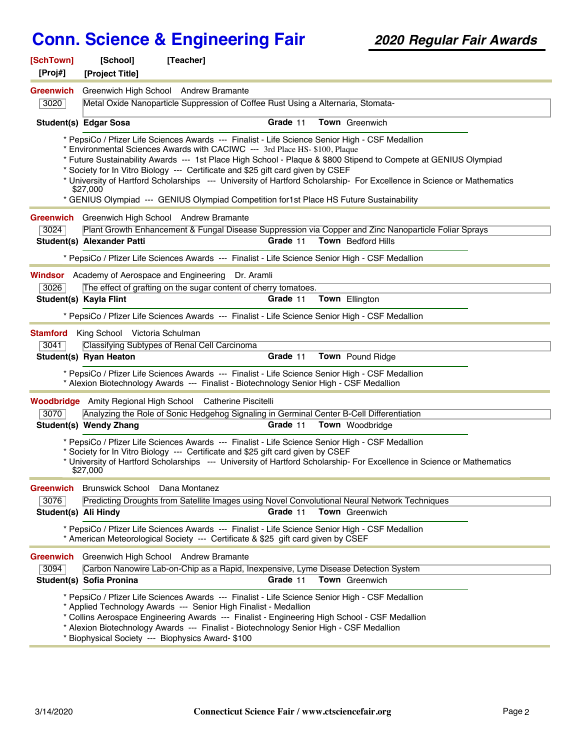| [SchTown]<br>[Proj#]     | [Teacher]<br>[School]<br>[Project Title]                                                                                                                                                                                                                                                                                                                                                                             |          |                                                                                                                                                                                                                                           |  |
|--------------------------|----------------------------------------------------------------------------------------------------------------------------------------------------------------------------------------------------------------------------------------------------------------------------------------------------------------------------------------------------------------------------------------------------------------------|----------|-------------------------------------------------------------------------------------------------------------------------------------------------------------------------------------------------------------------------------------------|--|
| <b>Greenwich</b>         | Greenwich High School Andrew Bramante                                                                                                                                                                                                                                                                                                                                                                                |          |                                                                                                                                                                                                                                           |  |
| 3020                     | Metal Oxide Nanoparticle Suppression of Coffee Rust Using a Alternaria, Stomata-                                                                                                                                                                                                                                                                                                                                     |          |                                                                                                                                                                                                                                           |  |
|                          | <b>Student(s) Edgar Sosa</b>                                                                                                                                                                                                                                                                                                                                                                                         | Grade 11 | Town Greenwich                                                                                                                                                                                                                            |  |
|                          | * PepsiCo / Pfizer Life Sciences Awards --- Finalist - Life Science Senior High - CSF Medallion<br>* Environmental Sciences Awards with CACIWC --- 3rd Place HS- \$100, Plaque<br>* Society for In Vitro Biology --- Certificate and \$25 gift card given by CSEF<br>\$27,000<br>* GENIUS Olympiad --- GENIUS Olympiad Competition for1st Place HS Future Sustainability                                             |          | * Future Sustainability Awards --- 1st Place High School - Plaque & \$800 Stipend to Compete at GENIUS Olympiad<br>* University of Hartford Scholarships --- University of Hartford Scholarship- For Excellence in Science or Mathematics |  |
|                          | Greenwich Greenwich High School Andrew Bramante                                                                                                                                                                                                                                                                                                                                                                      |          |                                                                                                                                                                                                                                           |  |
| 3024                     |                                                                                                                                                                                                                                                                                                                                                                                                                      |          | Plant Growth Enhancement & Fungal Disease Suppression via Copper and Zinc Nanoparticle Foliar Sprays                                                                                                                                      |  |
|                          | Student(s) Alexander Patti                                                                                                                                                                                                                                                                                                                                                                                           | Grade 11 | <b>Town</b> Bedford Hills                                                                                                                                                                                                                 |  |
|                          | * PepsiCo / Pfizer Life Sciences Awards --- Finalist - Life Science Senior High - CSF Medallion                                                                                                                                                                                                                                                                                                                      |          |                                                                                                                                                                                                                                           |  |
|                          | <b>Windsor</b> Academy of Aerospace and Engineering Dr. Aramli                                                                                                                                                                                                                                                                                                                                                       |          |                                                                                                                                                                                                                                           |  |
| 3026                     | The effect of grafting on the sugar content of cherry tomatoes.                                                                                                                                                                                                                                                                                                                                                      |          |                                                                                                                                                                                                                                           |  |
|                          | Student(s) Kayla Flint                                                                                                                                                                                                                                                                                                                                                                                               | Grade 11 | Town Ellington                                                                                                                                                                                                                            |  |
|                          | * PepsiCo / Pfizer Life Sciences Awards --- Finalist - Life Science Senior High - CSF Medallion                                                                                                                                                                                                                                                                                                                      |          |                                                                                                                                                                                                                                           |  |
| <b>Stamford</b><br>3041  | King School Victoria Schulman<br>Classifying Subtypes of Renal Cell Carcinoma<br>Student(s) Ryan Heaton                                                                                                                                                                                                                                                                                                              | Grade 11 | Town Pound Ridge                                                                                                                                                                                                                          |  |
|                          | * PepsiCo / Pfizer Life Sciences Awards --- Finalist - Life Science Senior High - CSF Medallion<br>* Alexion Biotechnology Awards --- Finalist - Biotechnology Senior High - CSF Medallion                                                                                                                                                                                                                           |          |                                                                                                                                                                                                                                           |  |
|                          | <b>Woodbridge</b> Amity Regional High School Catherine Piscitelli                                                                                                                                                                                                                                                                                                                                                    |          |                                                                                                                                                                                                                                           |  |
| 3070                     | Analyzing the Role of Sonic Hedgehog Signaling in Germinal Center B-Cell Differentiation                                                                                                                                                                                                                                                                                                                             |          |                                                                                                                                                                                                                                           |  |
|                          | Student(s) Wendy Zhang                                                                                                                                                                                                                                                                                                                                                                                               | Grade 11 | Town Woodbridge                                                                                                                                                                                                                           |  |
|                          | * PepsiCo / Pfizer Life Sciences Awards --- Finalist - Life Science Senior High - CSF Medallion<br>* Society for In Vitro Biology --- Certificate and \$25 gift card given by CSEF<br>\$27,000                                                                                                                                                                                                                       |          | * University of Hartford Scholarships --- University of Hartford Scholarship- For Excellence in Science or Mathematics                                                                                                                    |  |
| <b>Greenwich</b>         | Brunswick School Dana Montanez                                                                                                                                                                                                                                                                                                                                                                                       |          |                                                                                                                                                                                                                                           |  |
| 3076                     | Predicting Droughts from Satellite Images using Novel Convolutional Neural Network Techniques                                                                                                                                                                                                                                                                                                                        |          |                                                                                                                                                                                                                                           |  |
| Student(s) Ali Hindy     |                                                                                                                                                                                                                                                                                                                                                                                                                      | Grade 11 | Town Greenwich                                                                                                                                                                                                                            |  |
|                          | * PepsiCo / Pfizer Life Sciences Awards --- Finalist - Life Science Senior High - CSF Medallion<br>* American Meteorological Society --- Certificate & \$25 gift card given by CSEF                                                                                                                                                                                                                                  |          |                                                                                                                                                                                                                                           |  |
| <b>Greenwich</b><br>3094 | Greenwich High School Andrew Bramante<br>Carbon Nanowire Lab-on-Chip as a Rapid, Inexpensive, Lyme Disease Detection System<br>Student(s) Sofia Pronina                                                                                                                                                                                                                                                              | Grade 11 | Town Greenwich                                                                                                                                                                                                                            |  |
|                          | * PepsiCo / Pfizer Life Sciences Awards --- Finalist - Life Science Senior High - CSF Medallion<br>* Applied Technology Awards --- Senior High Finalist - Medallion<br>* Collins Aerospace Engineering Awards --- Finalist - Engineering High School - CSF Medallion<br>* Alexion Biotechnology Awards --- Finalist - Biotechnology Senior High - CSF Medallion<br>* Biophysical Society --- Biophysics Award- \$100 |          |                                                                                                                                                                                                                                           |  |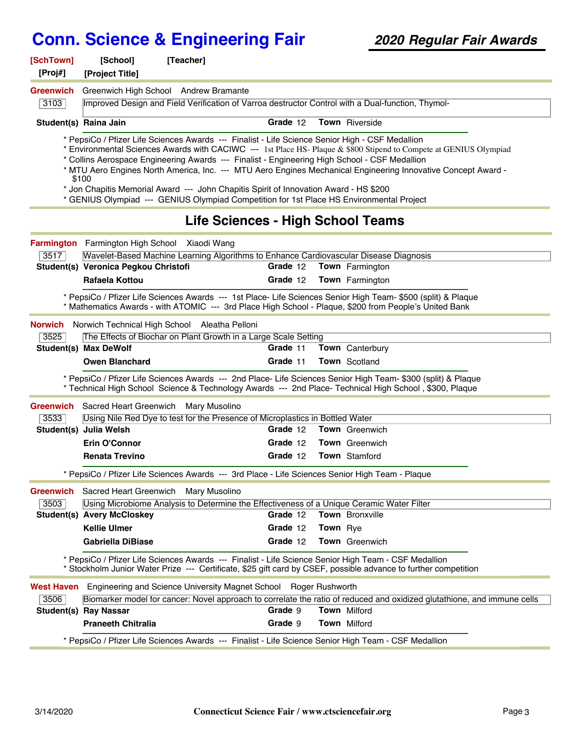| [SchTown]<br>[Proj#] | [School]                             | [Teacher]                                                                                                                                                                                                                                                                                                                                                                             |          |                 |                                                                                                                                                                                                                                     |  |
|----------------------|--------------------------------------|---------------------------------------------------------------------------------------------------------------------------------------------------------------------------------------------------------------------------------------------------------------------------------------------------------------------------------------------------------------------------------------|----------|-----------------|-------------------------------------------------------------------------------------------------------------------------------------------------------------------------------------------------------------------------------------|--|
| <b>Greenwich</b>     | [Project Title]                      | Greenwich High School Andrew Bramante                                                                                                                                                                                                                                                                                                                                                 |          |                 |                                                                                                                                                                                                                                     |  |
| 3103                 |                                      |                                                                                                                                                                                                                                                                                                                                                                                       |          |                 | Improved Design and Field Verification of Varroa destructor Control with a Dual-function, Thymol-                                                                                                                                   |  |
|                      |                                      |                                                                                                                                                                                                                                                                                                                                                                                       |          |                 |                                                                                                                                                                                                                                     |  |
|                      | Student(s) Raina Jain                |                                                                                                                                                                                                                                                                                                                                                                                       | Grade 12 |                 | Town Riverside                                                                                                                                                                                                                      |  |
|                      | \$100                                | * PepsiCo / Pfizer Life Sciences Awards --- Finalist - Life Science Senior High - CSF Medallion<br>* Collins Aerospace Engineering Awards --- Finalist - Engineering High School - CSF Medallion<br>* Jon Chapitis Memorial Award --- John Chapitis Spirit of Innovation Award - HS \$200<br>* GENIUS Olympiad --- GENIUS Olympiad Competition for 1st Place HS Environmental Project |          |                 | * Environmental Sciences Awards with CACIWC --- 1st Place HS- Plaque & \$800 Stipend to Compete at GENIUS Olympiad<br>* MTU Aero Engines North America, Inc. --- MTU Aero Engines Mechanical Engineering Innovative Concept Award - |  |
|                      |                                      | Life Sciences - High School Teams                                                                                                                                                                                                                                                                                                                                                     |          |                 |                                                                                                                                                                                                                                     |  |
|                      |                                      | Farmington Farmington High School Xiaodi Wang                                                                                                                                                                                                                                                                                                                                         |          |                 |                                                                                                                                                                                                                                     |  |
| 3517                 |                                      | Wavelet-Based Machine Learning Algorithms to Enhance Cardiovascular Disease Diagnosis                                                                                                                                                                                                                                                                                                 |          |                 |                                                                                                                                                                                                                                     |  |
|                      | Student(s) Veronica Pegkou Christofi |                                                                                                                                                                                                                                                                                                                                                                                       | Grade 12 |                 | <b>Town</b> Farmington                                                                                                                                                                                                              |  |
|                      | Rafaela Kottou                       |                                                                                                                                                                                                                                                                                                                                                                                       | Grade 12 |                 | Town Farmington                                                                                                                                                                                                                     |  |
|                      |                                      |                                                                                                                                                                                                                                                                                                                                                                                       |          |                 | * PepsiCo / Pfizer Life Sciences Awards --- 1st Place- Life Sciences Senior High Team- \$500 (split) & Plaque<br>* Mathematics Awards - with ATOMIC --- 3rd Place High School - Plaque, \$200 from People's United Bank             |  |
| <b>Norwich</b>       |                                      | Norwich Technical High School Aleatha Pelloni                                                                                                                                                                                                                                                                                                                                         |          |                 |                                                                                                                                                                                                                                     |  |
| 3525                 |                                      | The Effects of Biochar on Plant Growth in a Large Scale Setting                                                                                                                                                                                                                                                                                                                       |          |                 |                                                                                                                                                                                                                                     |  |
|                      | <b>Student(s) Max DeWolf</b>         |                                                                                                                                                                                                                                                                                                                                                                                       | Grade 11 |                 | Town Canterbury                                                                                                                                                                                                                     |  |
|                      | <b>Owen Blanchard</b>                |                                                                                                                                                                                                                                                                                                                                                                                       | Grade 11 |                 | Town Scotland                                                                                                                                                                                                                       |  |
|                      |                                      |                                                                                                                                                                                                                                                                                                                                                                                       |          |                 | * PepsiCo / Pfizer Life Sciences Awards --- 2nd Place- Life Sciences Senior High Team- \$300 (split) & Plaque<br>* Technical High School Science & Technology Awards --- 2nd Place- Technical High School, \$300, Plaque            |  |
| Greenwich            |                                      | Sacred Heart Greenwich Mary Musolino                                                                                                                                                                                                                                                                                                                                                  |          |                 |                                                                                                                                                                                                                                     |  |
| 3533                 |                                      | Using Nile Red Dye to test for the Presence of Microplastics in Bottled Water                                                                                                                                                                                                                                                                                                         |          |                 |                                                                                                                                                                                                                                     |  |
|                      | Student(s) Julia Welsh               |                                                                                                                                                                                                                                                                                                                                                                                       | Grade 12 |                 | <b>Town</b> Greenwich                                                                                                                                                                                                               |  |
|                      | <b>Erin O'Connor</b>                 |                                                                                                                                                                                                                                                                                                                                                                                       | Grade 12 |                 | <b>Town</b> Greenwich                                                                                                                                                                                                               |  |
|                      | <b>Renata Trevino</b>                |                                                                                                                                                                                                                                                                                                                                                                                       | Grade 12 |                 | <b>Town</b> Stamford                                                                                                                                                                                                                |  |
|                      |                                      | * PepsiCo / Pfizer Life Sciences Awards --- 3rd Place - Life Sciences Senior High Team - Plaque                                                                                                                                                                                                                                                                                       |          |                 |                                                                                                                                                                                                                                     |  |
| <b>Greenwich</b>     |                                      | Sacred Heart Greenwich Mary Musolino                                                                                                                                                                                                                                                                                                                                                  |          |                 |                                                                                                                                                                                                                                     |  |
| 3503                 |                                      | Using Microbiome Analysis to Determine the Effectiveness of a Unique Ceramic Water Filter                                                                                                                                                                                                                                                                                             |          |                 |                                                                                                                                                                                                                                     |  |
|                      | <b>Student(s) Avery McCloskey</b>    |                                                                                                                                                                                                                                                                                                                                                                                       | Grade 12 |                 | Town Bronxville                                                                                                                                                                                                                     |  |
|                      | <b>Kellie Ulmer</b>                  |                                                                                                                                                                                                                                                                                                                                                                                       | Grade 12 | <b>Town</b> Rye |                                                                                                                                                                                                                                     |  |
|                      | <b>Gabriella DiBiase</b>             |                                                                                                                                                                                                                                                                                                                                                                                       | Grade 12 |                 | Town Greenwich                                                                                                                                                                                                                      |  |
|                      |                                      |                                                                                                                                                                                                                                                                                                                                                                                       |          |                 | * PepsiCo / Pfizer Life Sciences Awards --- Finalist - Life Science Senior High Team - CSF Medallion<br>* Stockholm Junior Water Prize --- Certificate, \$25 gift card by CSEF, possible advance to further competition             |  |
| West Haven           |                                      | Engineering and Science University Magnet School Roger Rushworth                                                                                                                                                                                                                                                                                                                      |          |                 |                                                                                                                                                                                                                                     |  |
| 3506                 |                                      |                                                                                                                                                                                                                                                                                                                                                                                       |          |                 | Biomarker model for cancer: Novel approach to correlate the ratio of reduced and oxidized glutathione, and immune cells                                                                                                             |  |
|                      | <b>Student(s) Ray Nassar</b>         |                                                                                                                                                                                                                                                                                                                                                                                       | Grade 9  |                 | <b>Town Milford</b>                                                                                                                                                                                                                 |  |
|                      | <b>Praneeth Chitralia</b>            |                                                                                                                                                                                                                                                                                                                                                                                       | Grade 9  |                 | <b>Town Milford</b>                                                                                                                                                                                                                 |  |
|                      |                                      |                                                                                                                                                                                                                                                                                                                                                                                       |          |                 | * PepsiCo / Pfizer Life Sciences Awards --- Finalist - Life Science Senior High Team - CSF Medallion                                                                                                                                |  |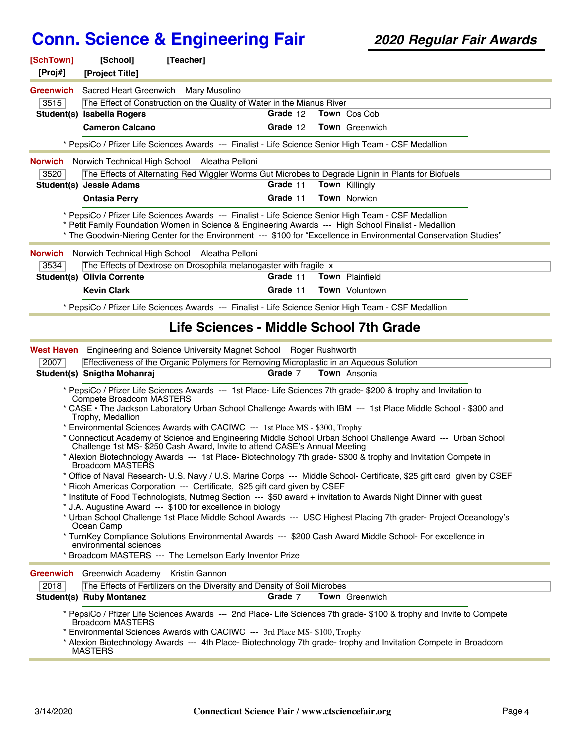| [SchTown]<br>[Proj#] | [School]<br>[Project Title]                       | [Teacher]                                                                                                                                                                                                                                                                                                                         |          |                       |  |
|----------------------|---------------------------------------------------|-----------------------------------------------------------------------------------------------------------------------------------------------------------------------------------------------------------------------------------------------------------------------------------------------------------------------------------|----------|-----------------------|--|
| <b>Greenwich</b>     |                                                   | Sacred Heart Greenwich Mary Musolino                                                                                                                                                                                                                                                                                              |          |                       |  |
| 3515                 |                                                   | The Effect of Construction on the Quality of Water in the Mianus River                                                                                                                                                                                                                                                            |          |                       |  |
|                      | Student(s) Isabella Rogers                        |                                                                                                                                                                                                                                                                                                                                   | Grade 12 | Town Cos Cob          |  |
|                      | <b>Cameron Calcano</b>                            |                                                                                                                                                                                                                                                                                                                                   | Grade 12 | <b>Town</b> Greenwich |  |
|                      |                                                   | * PepsiCo / Pfizer Life Sciences Awards --- Finalist - Life Science Senior High Team - CSF Medallion                                                                                                                                                                                                                              |          |                       |  |
| Norwich              |                                                   | Norwich Technical High School Aleatha Pelloni                                                                                                                                                                                                                                                                                     |          |                       |  |
| 3520                 |                                                   | The Effects of Alternating Red Wiggler Worms Gut Microbes to Degrade Lignin in Plants for Biofuels                                                                                                                                                                                                                                |          |                       |  |
|                      | <b>Student(s) Jessie Adams</b>                    |                                                                                                                                                                                                                                                                                                                                   | Grade 11 | Town Killingly        |  |
|                      | <b>Ontasia Perry</b>                              |                                                                                                                                                                                                                                                                                                                                   | Grade 11 | <b>Town</b> Norwicn   |  |
|                      |                                                   | * PepsiCo / Pfizer Life Sciences Awards --- Finalist - Life Science Senior High Team - CSF Medallion<br>* Petit Family Foundation Women in Science & Engineering Awards --- High School Finalist - Medallion<br>* The Goodwin-Niering Center for the Environment --- \$100 for "Excellence in Environmental Conservation Studies" |          |                       |  |
| <b>Norwich</b>       |                                                   | Norwich Technical High School Aleatha Pelloni                                                                                                                                                                                                                                                                                     |          |                       |  |
| 3534                 |                                                   | The Effects of Dextrose on Drosophila melanogaster with fragile x                                                                                                                                                                                                                                                                 |          |                       |  |
|                      | <b>Student(s) Olivia Corrente</b>                 |                                                                                                                                                                                                                                                                                                                                   | Grade 11 | Town Plainfield       |  |
|                      | <b>Kevin Clark</b>                                |                                                                                                                                                                                                                                                                                                                                   | Grade 11 | <b>Town</b> Voluntown |  |
|                      |                                                   | * PepsiCo / Pfizer Life Sciences Awards --- Finalist - Life Science Senior High Team - CSF Medallion                                                                                                                                                                                                                              |          |                       |  |
|                      |                                                   | Life Sciences - Middle School 7th Grade                                                                                                                                                                                                                                                                                           |          |                       |  |
| <b>West Haven</b>    |                                                   | Engineering and Science University Magnet School Roger Rushworth                                                                                                                                                                                                                                                                  |          |                       |  |
| 2007                 |                                                   | Effectiveness of the Organic Polymers for Removing Microplastic in an Aqueous Solution                                                                                                                                                                                                                                            |          |                       |  |
|                      | Student(s) Snigtha Mohanraj                       |                                                                                                                                                                                                                                                                                                                                   | Grade 7  | <b>Town</b> Ansonia   |  |
|                      | <b>Compete Broadcom MASTERS</b>                   | * PepsiCo / Pfizer Life Sciences Awards --- 1st Place- Life Sciences 7th grade- \$200 & trophy and Invitation to                                                                                                                                                                                                                  |          |                       |  |
|                      | Trophy, Medallion                                 | * CASE · The Jackson Laboratory Urban School Challenge Awards with IBM --- 1st Place Middle School - \$300 and                                                                                                                                                                                                                    |          |                       |  |
|                      |                                                   | * Environmental Sciences Awards with CACIWC --- 1st Place MS - \$300, Trophy<br>* Connecticut Academy of Science and Engineering Middle School Urban School Challenge Award --- Urban School                                                                                                                                      |          |                       |  |
|                      |                                                   | Challenge 1st MS-\$250 Cash Award, Invite to attend CASE's Annual Meeting                                                                                                                                                                                                                                                         |          |                       |  |
|                      | Broadcom MASTERS                                  | * Alexion Biotechnology Awards --- 1st Place- Biotechnology 7th grade- \$300 & trophy and Invitation Compete in                                                                                                                                                                                                                   |          |                       |  |
|                      |                                                   | * Office of Naval Research- U.S. Navy / U.S. Marine Corps --- Middle School- Certificate, \$25 gift card given by CSEF                                                                                                                                                                                                            |          |                       |  |
|                      |                                                   | * Ricoh Americas Corporation --- Certificate, \$25 gift card given by CSEF                                                                                                                                                                                                                                                        |          |                       |  |
|                      |                                                   | * Institute of Food Technologists, Nutmeg Section --- \$50 award + invitation to Awards Night Dinner with guest                                                                                                                                                                                                                   |          |                       |  |
|                      | Ocean Camp                                        | * J.A. Augustine Award --- \$100 for excellence in biology<br>* Urban School Challenge 1st Place Middle School Awards --- USC Highest Placing 7th grader- Project Oceanology's                                                                                                                                                    |          |                       |  |
|                      | environmental sciences                            | * TurnKey Compliance Solutions Environmental Awards --- \$200 Cash Award Middle School- For excellence in                                                                                                                                                                                                                         |          |                       |  |
|                      |                                                   | * Broadcom MASTERS --- The Lemelson Early Inventor Prize                                                                                                                                                                                                                                                                          |          |                       |  |
|                      | <b>Greenwich</b> Greenwich Academy Kristin Gannon |                                                                                                                                                                                                                                                                                                                                   |          |                       |  |
| 2018                 |                                                   | The Effects of Fertilizers on the Diversity and Density of Soil Microbes                                                                                                                                                                                                                                                          |          |                       |  |
|                      | <b>Student(s) Ruby Montanez</b>                   |                                                                                                                                                                                                                                                                                                                                   | Grade 7  | Town Greenwich        |  |
|                      | <b>Broadcom MASTERS</b><br><b>MASTERS</b>         | * PepsiCo / Pfizer Life Sciences Awards --- 2nd Place- Life Sciences 7th grade- \$100 & trophy and Invite to Compete<br>* Environmental Sciences Awards with CACIWC --- 3rd Place MS-\$100, Trophy<br>* Alexion Biotechnology Awards --- 4th Place- Biotechnology 7th grade- trophy and Invitation Compete in Broadcom            |          |                       |  |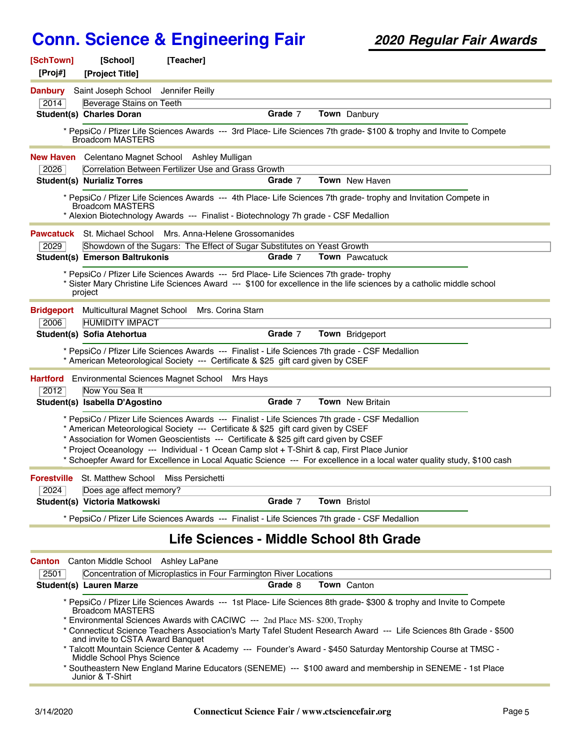| [SchTown]<br>[Proj#] | [School]<br>[Project Title]                                    | [Teacher]                                                                                                                                                                                                                                                                                                                                                                 |         |                                                                                                                                                                                                                                             |  |
|----------------------|----------------------------------------------------------------|---------------------------------------------------------------------------------------------------------------------------------------------------------------------------------------------------------------------------------------------------------------------------------------------------------------------------------------------------------------------------|---------|---------------------------------------------------------------------------------------------------------------------------------------------------------------------------------------------------------------------------------------------|--|
| <b>Danbury</b>       | Saint Joseph School Jennifer Reilly                            |                                                                                                                                                                                                                                                                                                                                                                           |         |                                                                                                                                                                                                                                             |  |
| 2014                 | Beverage Stains on Teeth                                       |                                                                                                                                                                                                                                                                                                                                                                           |         |                                                                                                                                                                                                                                             |  |
|                      | <b>Student(s) Charles Doran</b>                                |                                                                                                                                                                                                                                                                                                                                                                           | Grade 7 | Town Danbury                                                                                                                                                                                                                                |  |
|                      | <b>Broadcom MASTERS</b>                                        |                                                                                                                                                                                                                                                                                                                                                                           |         | * PepsiCo / Pfizer Life Sciences Awards --- 3rd Place- Life Sciences 7th grade- \$100 & trophy and Invite to Compete                                                                                                                        |  |
|                      |                                                                | <b>New Haven</b> Celentano Magnet School Ashley Mulligan                                                                                                                                                                                                                                                                                                                  |         |                                                                                                                                                                                                                                             |  |
| 2026                 |                                                                | Correlation Between Fertilizer Use and Grass Growth                                                                                                                                                                                                                                                                                                                       |         |                                                                                                                                                                                                                                             |  |
|                      | <b>Student(s) Nurializ Torres</b>                              |                                                                                                                                                                                                                                                                                                                                                                           | Grade 7 | Town New Haven                                                                                                                                                                                                                              |  |
|                      | <b>Broadcom MASTERS</b>                                        | * Alexion Biotechnology Awards --- Finalist - Biotechnology 7h grade - CSF Medallion                                                                                                                                                                                                                                                                                      |         | * PepsiCo / Pfizer Life Sciences Awards --- 4th Place- Life Sciences 7th grade- trophy and Invitation Compete in                                                                                                                            |  |
|                      | <b>Pawcatuck</b> St. Michael School                            | Mrs. Anna-Helene Grossomanides                                                                                                                                                                                                                                                                                                                                            |         |                                                                                                                                                                                                                                             |  |
| 2029                 |                                                                | Showdown of the Sugars: The Effect of Sugar Substitutes on Yeast Growth                                                                                                                                                                                                                                                                                                   |         |                                                                                                                                                                                                                                             |  |
|                      | <b>Student(s) Emerson Baltrukonis</b>                          |                                                                                                                                                                                                                                                                                                                                                                           | Grade 7 | <b>Town</b> Pawcatuck                                                                                                                                                                                                                       |  |
|                      | project                                                        | * PepsiCo / Pfizer Life Sciences Awards --- 5rd Place- Life Sciences 7th grade- trophy                                                                                                                                                                                                                                                                                    |         | * Sister Mary Christine Life Sciences Award --- \$100 for excellence in the life sciences by a catholic middle school                                                                                                                       |  |
| <b>Bridgeport</b>    |                                                                | Multicultural Magnet School Mrs. Corina Starn                                                                                                                                                                                                                                                                                                                             |         |                                                                                                                                                                                                                                             |  |
| 2006                 | <b>HUMIDITY IMPACT</b>                                         |                                                                                                                                                                                                                                                                                                                                                                           |         |                                                                                                                                                                                                                                             |  |
|                      | Student(s) Sofia Atehortua                                     |                                                                                                                                                                                                                                                                                                                                                                           | Grade 7 | Town Bridgeport                                                                                                                                                                                                                             |  |
|                      |                                                                | * PepsiCo / Pfizer Life Sciences Awards --- Finalist - Life Sciences 7th grade - CSF Medallion<br>* American Meteorological Society --- Certificate & \$25 gift card given by CSEF                                                                                                                                                                                        |         |                                                                                                                                                                                                                                             |  |
| <b>Hartford</b>      | Environmental Sciences Magnet School                           | Mrs Hays                                                                                                                                                                                                                                                                                                                                                                  |         |                                                                                                                                                                                                                                             |  |
| 2012                 | Now You Sea It<br>Student(s) Isabella D'Agostino               |                                                                                                                                                                                                                                                                                                                                                                           | Grade 7 | <b>Town</b> New Britain                                                                                                                                                                                                                     |  |
|                      |                                                                | * PepsiCo / Pfizer Life Sciences Awards --- Finalist - Life Sciences 7th grade - CSF Medallion<br>* American Meteorological Society --- Certificate & \$25 gift card given by CSEF<br>* Association for Women Geoscientists --- Certificate & \$25 gift card given by CSEF<br>* Project Oceanology --- Individual - 1 Ocean Camp slot + T-Shirt & cap, First Place Junior |         | * Schoepfer Award for Excellence in Local Aquatic Science --- For excellence in a local water quality study, \$100 cash                                                                                                                     |  |
| <b>Forestville</b>   | St. Matthew School Miss Persichetti                            |                                                                                                                                                                                                                                                                                                                                                                           |         |                                                                                                                                                                                                                                             |  |
| 2024                 | Does age affect memory?                                        |                                                                                                                                                                                                                                                                                                                                                                           |         |                                                                                                                                                                                                                                             |  |
|                      | Student(s) Victoria Matkowski                                  |                                                                                                                                                                                                                                                                                                                                                                           | Grade 7 | Town Bristol                                                                                                                                                                                                                                |  |
|                      |                                                                | * PepsiCo / Pfizer Life Sciences Awards --- Finalist - Life Sciences 7th grade - CSF Medallion                                                                                                                                                                                                                                                                            |         |                                                                                                                                                                                                                                             |  |
|                      |                                                                | Life Sciences - Middle School 8th Grade                                                                                                                                                                                                                                                                                                                                   |         |                                                                                                                                                                                                                                             |  |
| <b>Canton</b>        | Canton Middle School Ashley LaPane                             |                                                                                                                                                                                                                                                                                                                                                                           |         |                                                                                                                                                                                                                                             |  |
| 2501                 |                                                                | Concentration of Microplastics in Four Farmington River Locations                                                                                                                                                                                                                                                                                                         |         |                                                                                                                                                                                                                                             |  |
|                      | <b>Student(s) Lauren Marze</b>                                 |                                                                                                                                                                                                                                                                                                                                                                           | Grade 8 | Town Canton                                                                                                                                                                                                                                 |  |
|                      | <b>Broadcom MASTERS</b>                                        | * Environmental Sciences Awards with CACIWC --- 2nd Place MS-\$200, Trophy                                                                                                                                                                                                                                                                                                |         | * PepsiCo / Pfizer Life Sciences Awards --- 1st Place- Life Sciences 8th grade- \$300 & trophy and Invite to Compete<br>* Connecticut Science Teachers Association's Marty Tafel Student Research Award --- Life Sciences 8th Grade - \$500 |  |
|                      | and invite to CSTA Award Banquet<br>Middle School Phys Science |                                                                                                                                                                                                                                                                                                                                                                           |         | * Talcott Mountain Science Center & Academy --- Founder's Award - \$450 Saturday Mentorship Course at TMSC -                                                                                                                                |  |
|                      | Junior & T-Shirt                                               |                                                                                                                                                                                                                                                                                                                                                                           |         | * Southeastern New England Marine Educators (SENEME) --- \$100 award and membership in SENEME - 1st Place                                                                                                                                   |  |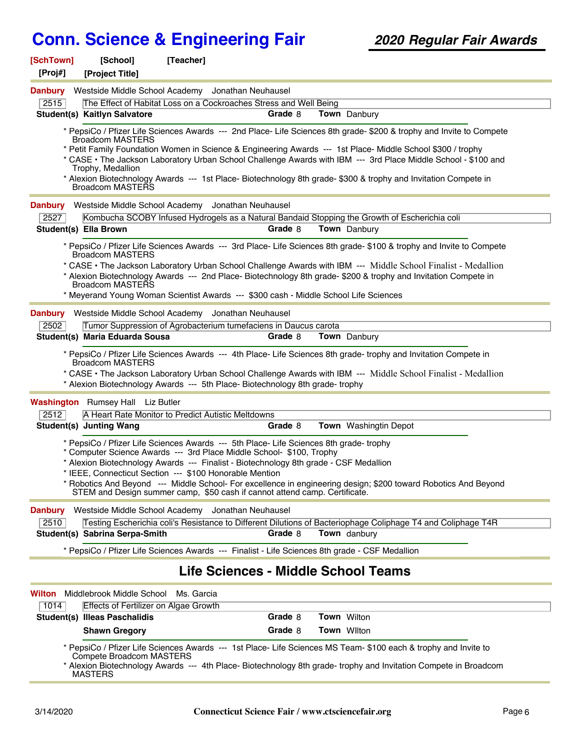| [SchTown]<br>[Proj#] | [School]                                     | [Teacher]                                                                                                                                                      |         |                                                                                                                      |
|----------------------|----------------------------------------------|----------------------------------------------------------------------------------------------------------------------------------------------------------------|---------|----------------------------------------------------------------------------------------------------------------------|
|                      | [Project Title]                              |                                                                                                                                                                |         |                                                                                                                      |
| <b>Danbury</b>       |                                              | Westside Middle School Academy Jonathan Neuhausel                                                                                                              |         |                                                                                                                      |
| 2515                 | Student(s) Kaitlyn Salvatore                 | The Effect of Habitat Loss on a Cockroaches Stress and Well Being                                                                                              | Grade 8 | Town Danbury                                                                                                         |
|                      |                                              |                                                                                                                                                                |         |                                                                                                                      |
|                      | <b>Broadcom MASTERS</b>                      |                                                                                                                                                                |         | * PepsiCo / Pfizer Life Sciences Awards --- 2nd Place- Life Sciences 8th grade- \$200 & trophy and Invite to Compete |
|                      |                                              |                                                                                                                                                                |         | * Petit Family Foundation Women in Science & Engineering Awards --- 1st Place- Middle School \$300 / trophy          |
|                      |                                              |                                                                                                                                                                |         | * CASE • The Jackson Laboratory Urban School Challenge Awards with IBM --- 3rd Place Middle School - \$100 and       |
|                      | Trophy, Medallion                            |                                                                                                                                                                |         | * Alexion Biotechnology Awards --- 1st Place- Biotechnology 8th grade- \$300 & trophy and Invitation Compete in      |
|                      | Broadcom MASTERS                             |                                                                                                                                                                |         |                                                                                                                      |
| <b>Danbury</b>       |                                              | Westside Middle School Academy Jonathan Neuhausel                                                                                                              |         |                                                                                                                      |
| 2527                 |                                              |                                                                                                                                                                |         | Kombucha SCOBY Infused Hydrogels as a Natural Bandaid Stopping the Growth of Escherichia coli                        |
|                      | Student(s) Ella Brown                        |                                                                                                                                                                | Grade 8 | <b>Town</b> Danbury                                                                                                  |
|                      | <b>Broadcom MASTERS</b>                      |                                                                                                                                                                |         | * PepsiCo / Pfizer Life Sciences Awards --- 3rd Place- Life Sciences 8th grade- \$100 & trophy and Invite to Compete |
|                      |                                              |                                                                                                                                                                |         | * CASE • The Jackson Laboratory Urban School Challenge Awards with IBM --- Middle School Finalist - Medallion        |
|                      | Broadcom MASTERS                             |                                                                                                                                                                |         | * Alexion Biotechnology Awards --- 2nd Place- Biotechnology 8th grade- \$200 & trophy and Invitation Compete in      |
|                      |                                              |                                                                                                                                                                |         | * Meyerand Young Woman Scientist Awards --- \$300 cash - Middle School Life Sciences                                 |
| <b>Danbury</b>       |                                              | Westside Middle School Academy Jonathan Neuhausel                                                                                                              |         |                                                                                                                      |
| 2502                 |                                              | Tumor Suppression of Agrobacterium tumefaciens in Daucus carota                                                                                                |         |                                                                                                                      |
|                      | Student(s) Maria Eduarda Sousa               |                                                                                                                                                                | Grade 8 | Town Danbury                                                                                                         |
|                      |                                              |                                                                                                                                                                |         | * PepsiCo / Pfizer Life Sciences Awards --- 4th Place- Life Sciences 8th grade- trophy and Invitation Compete in     |
|                      | <b>Broadcom MASTERS</b>                      |                                                                                                                                                                |         | * CASE • The Jackson Laboratory Urban School Challenge Awards with IBM --- Middle School Finalist - Medallion        |
|                      |                                              | * Alexion Biotechnology Awards --- 5th Place- Biotechnology 8th grade- trophy                                                                                  |         |                                                                                                                      |
|                      | <b>Washington</b> Rumsey Hall Liz Butler     |                                                                                                                                                                |         |                                                                                                                      |
| 2512                 |                                              | A Heart Rate Monitor to Predict Autistic Meltdowns                                                                                                             |         |                                                                                                                      |
|                      | <b>Student(s) Junting Wang</b>               |                                                                                                                                                                | Grade 8 | <b>Town</b> Washingtin Depot                                                                                         |
|                      |                                              |                                                                                                                                                                |         |                                                                                                                      |
|                      |                                              | * PepsiCo / Pfizer Life Sciences Awards --- 5th Place- Life Sciences 8th grade- trophy<br>* Computer Science Awards --- 3rd Place Middle School- \$100, Trophy |         |                                                                                                                      |
|                      |                                              | * Alexion Biotechnology Awards --- Finalist - Biotechnology 8th grade - CSF Medallion                                                                          |         |                                                                                                                      |
|                      |                                              | * IEEE, Connecticut Section --- \$100 Honorable Mention                                                                                                        |         |                                                                                                                      |
|                      |                                              | STEM and Design summer camp, \$50 cash if cannot attend camp. Certificate.                                                                                     |         | Robotics And Beyond --- Middle School- For excellence in engineering design; \$200 toward Robotics And Beyond        |
| <b>Danbury</b>       |                                              | Westside Middle School Academy Jonathan Neuhausel                                                                                                              |         |                                                                                                                      |
| 2510                 |                                              |                                                                                                                                                                |         | Testing Escherichia coli's Resistance to Different Dilutions of Bacteriophage Coliphage T4 and Coliphage T4R         |
|                      | Student(s) Sabrina Serpa-Smith               |                                                                                                                                                                | Grade 8 | <b>Town</b> danbury                                                                                                  |
|                      |                                              |                                                                                                                                                                |         | * PepsiCo / Pfizer Life Sciences Awards --- Finalist - Life Sciences 8th grade - CSF Medallion                       |
|                      |                                              |                                                                                                                                                                |         | Life Sciences - Middle School Teams                                                                                  |
| Wilton               | Middlebrook Middle School                    | Ms. Garcia                                                                                                                                                     |         |                                                                                                                      |
| 1014                 | <b>Effects of Fertilizer on Algae Growth</b> |                                                                                                                                                                |         |                                                                                                                      |
|                      | <b>Student(s) Illeas Paschalidis</b>         |                                                                                                                                                                | Grade 8 | Town Wilton                                                                                                          |
|                      | <b>Shawn Gregory</b>                         |                                                                                                                                                                | Grade 8 | <b>Town Wilton</b>                                                                                                   |
|                      |                                              |                                                                                                                                                                |         | * PepsiCo / Pfizer Life Sciences Awards --- 1st Place- Life Sciences MS Team- \$100 each & trophy and Invite to      |
|                      | Compete Broadcom MASTERS                     |                                                                                                                                                                |         | * Alexion Biotechnology Awards --- 4th Place- Biotechnology 8th grade- trophy and Invitation Compete in Broadcom     |
|                      | <b>MASTERS</b>                               |                                                                                                                                                                |         |                                                                                                                      |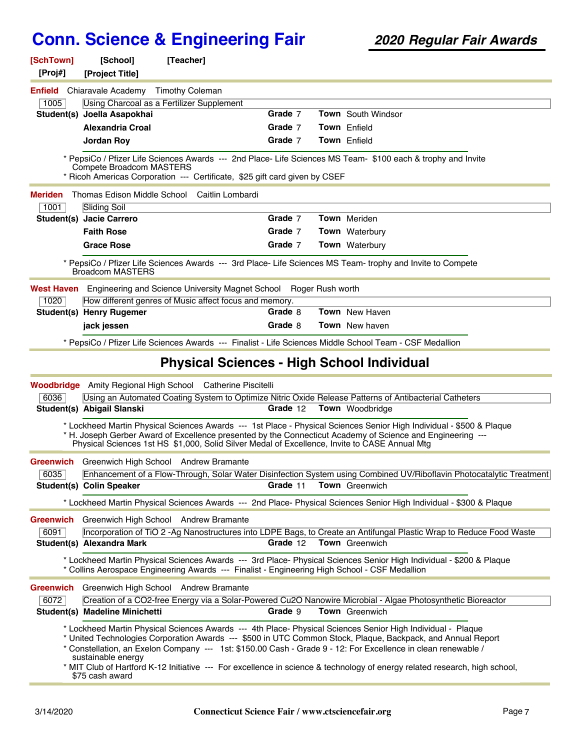| [SchTown]<br>[Proj#] | [School]<br>[Project Title]           | [Teacher]                                                                                     |                         |                                                                                                                                                                                                                                                                                                                                                                                                                                                                           |
|----------------------|---------------------------------------|-----------------------------------------------------------------------------------------------|-------------------------|---------------------------------------------------------------------------------------------------------------------------------------------------------------------------------------------------------------------------------------------------------------------------------------------------------------------------------------------------------------------------------------------------------------------------------------------------------------------------|
|                      | <b>Enfield</b> Chiaravale Academy     | <b>Timothy Coleman</b>                                                                        |                         |                                                                                                                                                                                                                                                                                                                                                                                                                                                                           |
| 1005                 |                                       | Using Charcoal as a Fertilizer Supplement                                                     |                         |                                                                                                                                                                                                                                                                                                                                                                                                                                                                           |
|                      | Student(s) Joella Asapokhai           |                                                                                               | Grade 7                 | <b>Town</b> South Windsor                                                                                                                                                                                                                                                                                                                                                                                                                                                 |
|                      | <b>Alexandria Croal</b>               |                                                                                               | Grade 7                 | <b>Town</b> Enfield                                                                                                                                                                                                                                                                                                                                                                                                                                                       |
|                      | <b>Jordan Roy</b>                     |                                                                                               | Grade 7                 | <b>Town</b> Enfield                                                                                                                                                                                                                                                                                                                                                                                                                                                       |
|                      | Compete Broadcom MASTERS              | * Ricoh Americas Corporation --- Certificate, \$25 gift card given by CSEF                    |                         | * PepsiCo / Pfizer Life Sciences Awards --- 2nd Place- Life Sciences MS Team- \$100 each & trophy and Invite                                                                                                                                                                                                                                                                                                                                                              |
| <b>Meriden</b>       | Thomas Edison Middle School           | Caitlin Lombardi                                                                              |                         |                                                                                                                                                                                                                                                                                                                                                                                                                                                                           |
| 1001                 | <b>Sliding Soil</b>                   |                                                                                               |                         |                                                                                                                                                                                                                                                                                                                                                                                                                                                                           |
|                      | Student(s) Jacie Carrero              |                                                                                               | Grade 7                 | <b>Town</b> Meriden                                                                                                                                                                                                                                                                                                                                                                                                                                                       |
|                      | <b>Faith Rose</b>                     |                                                                                               | Grade 7                 | Town Waterbury                                                                                                                                                                                                                                                                                                                                                                                                                                                            |
|                      | <b>Grace Rose</b>                     |                                                                                               | Grade 7                 | Town Waterbury                                                                                                                                                                                                                                                                                                                                                                                                                                                            |
|                      | <b>Broadcom MASTERS</b>               |                                                                                               |                         | * PepsiCo / Pfizer Life Sciences Awards --- 3rd Place- Life Sciences MS Team- trophy and Invite to Compete                                                                                                                                                                                                                                                                                                                                                                |
| West Haven           |                                       | Engineering and Science University Magnet School Roger Rush worth                             |                         |                                                                                                                                                                                                                                                                                                                                                                                                                                                                           |
| 1020                 |                                       | How different genres of Music affect focus and memory.                                        |                         |                                                                                                                                                                                                                                                                                                                                                                                                                                                                           |
|                      | <b>Student(s) Henry Rugemer</b>       |                                                                                               | Grade 8                 | <b>Town</b> New Haven                                                                                                                                                                                                                                                                                                                                                                                                                                                     |
|                      | jack jessen                           |                                                                                               | Grade 8                 | <b>Town</b> New haven                                                                                                                                                                                                                                                                                                                                                                                                                                                     |
|                      |                                       |                                                                                               |                         | * PepsiCo / Pfizer Life Sciences Awards --- Finalist - Life Sciences Middle School Team - CSF Medallion                                                                                                                                                                                                                                                                                                                                                                   |
|                      |                                       | <b>Physical Sciences - High School Individual</b>                                             |                         |                                                                                                                                                                                                                                                                                                                                                                                                                                                                           |
|                      |                                       | <b>Woodbridge</b> Amity Regional High School Catherine Piscitelli                             |                         |                                                                                                                                                                                                                                                                                                                                                                                                                                                                           |
| 6036                 |                                       |                                                                                               |                         | Using an Automated Coating System to Optimize Nitric Oxide Release Patterns of Antibacterial Catheters                                                                                                                                                                                                                                                                                                                                                                    |
|                      | Student(s) Abigail Slanski            |                                                                                               | Grade 12                | <b>Town</b> Woodbridge                                                                                                                                                                                                                                                                                                                                                                                                                                                    |
|                      |                                       | Physical Sciences 1st HS \$1,000, Solid Silver Medal of Excellence, Invite to CASE Annual Mtg |                         | * Lockheed Martin Physical Sciences Awards --- 1st Place - Physical Sciences Senior High Individual - \$500 & Plaque<br>* H. Joseph Gerber Award of Excellence presented by the Connecticut Academy of Science and Engineering ---                                                                                                                                                                                                                                        |
| Greenwich            |                                       | Greenwich High School Andrew Bramante                                                         |                         |                                                                                                                                                                                                                                                                                                                                                                                                                                                                           |
| 6035                 |                                       |                                                                                               |                         | Enhancement of a Flow-Through, Solar Water Disinfection System using Combined UV/Riboflavin Photocatalytic Treatment                                                                                                                                                                                                                                                                                                                                                      |
|                      | Student(s) Colin Speaker              |                                                                                               | Grade 11                | Town Greenwich                                                                                                                                                                                                                                                                                                                                                                                                                                                            |
|                      |                                       |                                                                                               |                         | * Lockheed Martin Physical Sciences Awards --- 2nd Place- Physical Sciences Senior High Individual - \$300 & Plaque                                                                                                                                                                                                                                                                                                                                                       |
| Greenwich            |                                       | Greenwich High School Andrew Bramante                                                         |                         |                                                                                                                                                                                                                                                                                                                                                                                                                                                                           |
| 6091                 |                                       |                                                                                               |                         | Incorporation of TiO 2 -Ag Nanostructures into LDPE Bags, to Create an Antifungal Plastic Wrap to Reduce Food Waste                                                                                                                                                                                                                                                                                                                                                       |
|                      | Student(s) Alexandra Mark             |                                                                                               | Grade 12 Town Greenwich |                                                                                                                                                                                                                                                                                                                                                                                                                                                                           |
|                      |                                       | * Collins Aerospace Engineering Awards --- Finalist - Engineering High School - CSF Medallion |                         | * Lockheed Martin Physical Sciences Awards --- 3rd Place- Physical Sciences Senior High Individual - \$200 & Plaque                                                                                                                                                                                                                                                                                                                                                       |
| <b>Greenwich</b>     |                                       | Greenwich High School Andrew Bramante                                                         |                         |                                                                                                                                                                                                                                                                                                                                                                                                                                                                           |
| 6072                 |                                       |                                                                                               |                         | Creation of a CO2-free Energy via a Solar-Powered Cu2O Nanowire Microbial - Algae Photosynthetic Bioreactor                                                                                                                                                                                                                                                                                                                                                               |
|                      | Student(s) Madeline Minichetti        |                                                                                               | Grade 9                 | Town Greenwich                                                                                                                                                                                                                                                                                                                                                                                                                                                            |
|                      | sustainable energy<br>\$75 cash award |                                                                                               |                         | * Lockheed Martin Physical Sciences Awards --- 4th Place- Physical Sciences Senior High Individual - Plaque<br>* United Technologies Corporation Awards --- \$500 in UTC Common Stock, Plaque, Backpack, and Annual Report<br>* Constellation, an Exelon Company --- 1st: \$150.00 Cash - Grade 9 - 12: For Excellence in clean renewable /<br>* MIT Club of Hartford K-12 Initiative --- For excellence in science & technology of energy related research, high school, |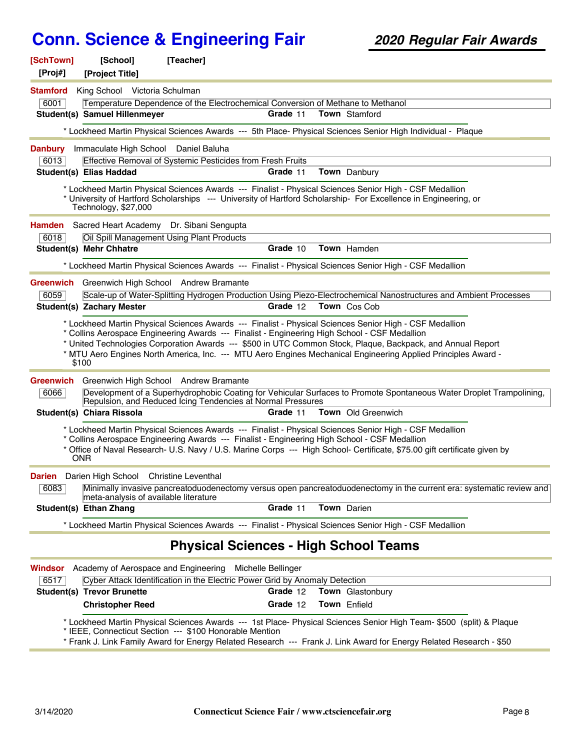| [SchTown]<br>[Proj#] | [School]<br>[Project Title]                          | [Teacher]                                                                   |                    |                                                                                                                                                                                                                                                                                                                                                     |
|----------------------|------------------------------------------------------|-----------------------------------------------------------------------------|--------------------|-----------------------------------------------------------------------------------------------------------------------------------------------------------------------------------------------------------------------------------------------------------------------------------------------------------------------------------------------------|
| <b>Stamford</b>      | King School Victoria Schulman                        |                                                                             |                    |                                                                                                                                                                                                                                                                                                                                                     |
| 6001                 |                                                      |                                                                             |                    | Temperature Dependence of the Electrochemical Conversion of Methane to Methanol                                                                                                                                                                                                                                                                     |
|                      | Student(s) Samuel Hillenmeyer                        |                                                                             | Grade 11           | <b>Town</b> Stamford                                                                                                                                                                                                                                                                                                                                |
|                      |                                                      |                                                                             |                    | * Lockheed Martin Physical Sciences Awards --- 5th Place- Physical Sciences Senior High Individual - Plaque                                                                                                                                                                                                                                         |
| <b>Danbury</b>       | Immaculate High School Daniel Baluha                 |                                                                             |                    |                                                                                                                                                                                                                                                                                                                                                     |
| 6013                 |                                                      | Effective Removal of Systemic Pesticides from Fresh Fruits                  |                    |                                                                                                                                                                                                                                                                                                                                                     |
|                      | <b>Student(s) Elias Haddad</b>                       |                                                                             | Grade 11           | Town Danbury                                                                                                                                                                                                                                                                                                                                        |
|                      |                                                      |                                                                             |                    |                                                                                                                                                                                                                                                                                                                                                     |
|                      | Technology, \$27,000                                 |                                                                             |                    | * Lockheed Martin Physical Sciences Awards --- Finalist - Physical Sciences Senior High - CSF Medallion<br>* University of Hartford Scholarships --- University of Hartford Scholarship- For Excellence in Engineering, or                                                                                                                          |
| Hamden               |                                                      | Sacred Heart Academy Dr. Sibani Sengupta                                    |                    |                                                                                                                                                                                                                                                                                                                                                     |
| 6018                 |                                                      | Oil Spill Management Using Plant Products                                   |                    |                                                                                                                                                                                                                                                                                                                                                     |
|                      | Student(s) Mehr Chhatre                              |                                                                             | Grade 10           | Town Hamden                                                                                                                                                                                                                                                                                                                                         |
|                      |                                                      |                                                                             |                    | * Lockheed Martin Physical Sciences Awards --- Finalist - Physical Sciences Senior High - CSF Medallion                                                                                                                                                                                                                                             |
|                      |                                                      | <b>Greenwich</b> Greenwich High School Andrew Bramante                      |                    |                                                                                                                                                                                                                                                                                                                                                     |
| 6059                 |                                                      |                                                                             |                    | Scale-up of Water-Splitting Hydrogen Production Using Piezo-Electrochemical Nanostructures and Ambient Processes                                                                                                                                                                                                                                    |
|                      | <b>Student(s) Zachary Mester</b>                     |                                                                             | Grade 12           | Town Cos Cob                                                                                                                                                                                                                                                                                                                                        |
| Greenwich<br>6066    | \$100                                                | Greenwich High School Andrew Bramante                                       |                    | * United Technologies Corporation Awards --- \$500 in UTC Common Stock, Plaque, Backpack, and Annual Report<br>* MTU Aero Engines North America, Inc. --- MTU Aero Engines Mechanical Engineering Applied Principles Award -<br>Development of a Superhydrophobic Coating for Vehicular Surfaces to Promote Spontaneous Water Droplet Trampolining, |
|                      |                                                      | Repulsion, and Reduced Icing Tendencies at Normal Pressures                 |                    |                                                                                                                                                                                                                                                                                                                                                     |
|                      | Student(s) Chiara Rissola                            |                                                                             | Grade 11           | Town Old Greenwich                                                                                                                                                                                                                                                                                                                                  |
|                      | <b>ONR</b>                                           |                                                                             |                    | * Lockheed Martin Physical Sciences Awards --- Finalist - Physical Sciences Senior High - CSF Medallion<br>* Collins Aerospace Engineering Awards --- Finalist - Engineering High School - CSF Medallion<br>* Office of Naval Research- U.S. Navy / U.S. Marine Corps --- High School- Certificate, \$75.00 gift certificate given by               |
|                      | <b>Darien</b> Darien High School Christine Leventhal |                                                                             |                    |                                                                                                                                                                                                                                                                                                                                                     |
| 6083                 | meta-analysis of available literature                |                                                                             |                    | Minimally invasive pancreatoduodenectomy versus open pancreatoduodenectomy in the current era: systematic review and                                                                                                                                                                                                                                |
|                      | Student(s) Ethan Zhang                               |                                                                             | Grade 11           | Town Darien                                                                                                                                                                                                                                                                                                                                         |
|                      |                                                      |                                                                             |                    | * Lockheed Martin Physical Sciences Awards --- Finalist - Physical Sciences Senior High - CSF Medallion                                                                                                                                                                                                                                             |
|                      |                                                      |                                                                             |                    | <b>Physical Sciences - High School Teams</b>                                                                                                                                                                                                                                                                                                        |
| Windsor              | Academy of Aerospace and Engineering                 |                                                                             | Michelle Bellinger |                                                                                                                                                                                                                                                                                                                                                     |
| 6517                 |                                                      | Cyber Attack Identification in the Electric Power Grid by Anomaly Detection |                    |                                                                                                                                                                                                                                                                                                                                                     |
|                      | <b>Student(s) Trevor Brunette</b>                    |                                                                             | Grade 12           | Town Glastonbury                                                                                                                                                                                                                                                                                                                                    |
|                      | <b>Christopher Reed</b>                              |                                                                             | Grade 12           | Town Enfield                                                                                                                                                                                                                                                                                                                                        |
|                      |                                                      | * IEEE, Connecticut Section --- \$100 Honorable Mention                     |                    | * Lockheed Martin Physical Sciences Awards --- 1st Place- Physical Sciences Senior High Team- \$500 (split) & Plaque<br>* Frank J. Link Family Award for Energy Related Research --- Frank J. Link Award for Energy Related Research - \$50                                                                                                         |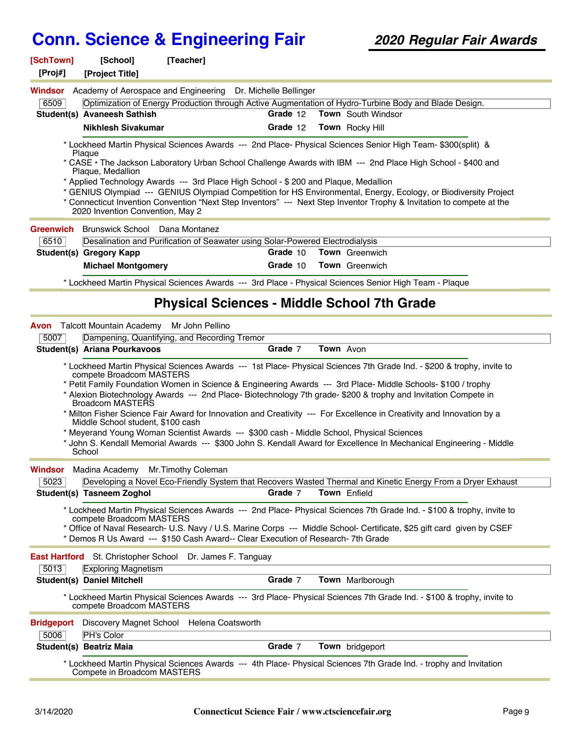#### **[SchTown] [School] [Teacher] [Proj#] [Project Title]** 6509 Optimization of Energy Production through Active Augmentation of Hydro-Turbine Body and Blade Design. **Windsor** Academy of Aerospace and Engineering Dr. Michelle Bellinger **Student(s) Avaneesh Sathish Grade** 12 **Town** South Windsor **Nikhlesh Sivakumar Grade** 12 **Town** Rocky Hill \* Lockheed Martin Physical Sciences Awards --- 2nd Place- Physical Sciences Senior High Team- \$300(split) & Plaque \* CASE • The Jackson Laboratory Urban School Challenge Awards with IBM --- 2nd Place High School - \$400 and Plaque, Medallion \* Applied Technology Awards --- 3rd Place High School - \$ 200 and Plaque, Medallion \* GENIUS Olympiad --- GENIUS Olympiad Competition for HS Environmental, Energy, Ecology, or Biodiversity Project \* Connecticut Invention Convention "Next Step Inventors" --- Next Step Inventor Trophy & Invitation to compete at the 2020 Invention Convention, May 2 6510 Desalination and Purification of Seawater using Solar-Powered Electrodialysis **Greenwich** Brunswick School Dana Montanez **Student(s) Gregory Kapp Grade** 10 **Town** Greenwich **Michael Montgomery Grade** 10 **Town** Greenwich \* Lockheed Martin Physical Sciences Awards --- 3rd Place - Physical Sciences Senior High Team - Plaque **Physical Sciences - Middle School 7th Grade** 5007 Dampening, Quantifying, and Recording Tremor **Avon** Talcott Mountain Academy Mr John Pellino **Student(s) Ariana Pourkavoos Grade** 7 **Town** Avon \* Lockheed Martin Physical Sciences Awards --- 1st Place- Physical Sciences 7th Grade Ind. - \$200 & trophy, invite to compete Broadcom MASTERS \* Petit Family Foundation Women in Science & Engineering Awards --- 3rd Place- Middle Schools- \$100 / trophy \* Alexion Biotechnology Awards --- 2nd Place- Biotechnology 7th grade- \$200 & trophy and Invitation Compete in Broadcom MASTERS \* Milton Fisher Science Fair Award for Innovation and Creativity --- For Excellence in Creativity and Innovation by a Middle School student, \$100 cash \* Meyerand Young Woman Scientist Awards --- \$300 cash - Middle School, Physical Sciences \* John S. Kendall Memorial Awards --- \$300 John S. Kendall Award for Excellence In Mechanical Engineering - Middle School 5023 Developing a Novel Eco-Friendly System that Recovers Wasted Thermal and Kinetic Energy From a Dryer Exhaust **Windsor** Madina Academy Mr.Timothy Coleman **Student(s) Tasneem Zoghol <b>Grade** 7 **Town** Enfield \* Lockheed Martin Physical Sciences Awards --- 2nd Place- Physical Sciences 7th Grade Ind. - \$100 & trophy, invite to compete Broadcom MASTERS \* Office of Naval Research- U.S. Navy / U.S. Marine Corps --- Middle School- Certificate, \$25 gift card given by CSEF \* Demos R Us Award --- \$150 Cash Award-- Clear Execution of Research- 7th Grade 5013 Exploring Magnetism **East Hartford** St. Christopher School Dr. James F. Tanguay **Student(s) Daniel Mitchell Grade** 7 **Town** Marlborough \* Lockheed Martin Physical Sciences Awards --- 3rd Place- Physical Sciences 7th Grade Ind. - \$100 & trophy, invite to compete Broadcom MASTERS 5006 PH's Color **Bridgeport** Discovery Magnet School Helena Coatsworth **Student(s) Beatriz Maia Grade** 7 **Town** bridgeport \* Lockheed Martin Physical Sciences Awards --- 4th Place- Physical Sciences 7th Grade Ind. - trophy and Invitation Compete in Broadcom MASTERS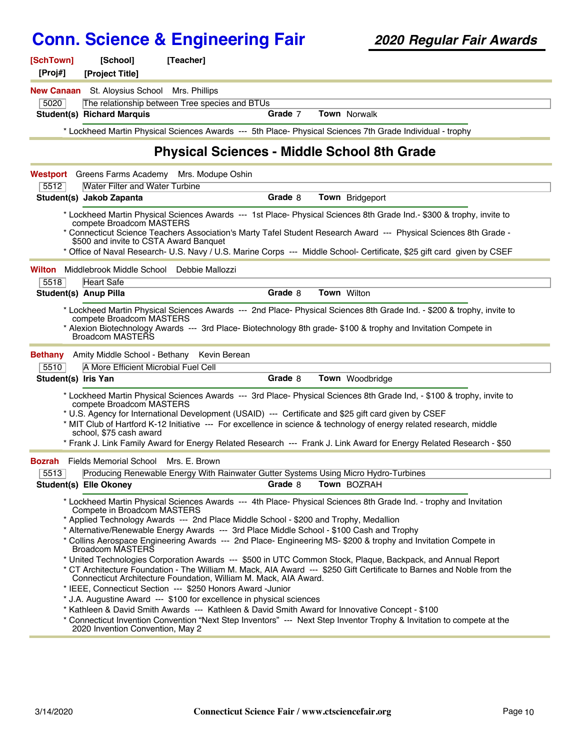| [SchTown]<br>[Proj#] | [School]<br>[Project Title]                                                         | [Teacher]                                                                                                                                                                                                                                                                                       |         |                                                                                                                                                                                                                                                                                                                                                                                                                                                                                                                                                                                                                                                                                                                                                                                                       |
|----------------------|-------------------------------------------------------------------------------------|-------------------------------------------------------------------------------------------------------------------------------------------------------------------------------------------------------------------------------------------------------------------------------------------------|---------|-------------------------------------------------------------------------------------------------------------------------------------------------------------------------------------------------------------------------------------------------------------------------------------------------------------------------------------------------------------------------------------------------------------------------------------------------------------------------------------------------------------------------------------------------------------------------------------------------------------------------------------------------------------------------------------------------------------------------------------------------------------------------------------------------------|
|                      | <b>New Canaan</b> St. Aloysius School Mrs. Phillips                                 |                                                                                                                                                                                                                                                                                                 |         |                                                                                                                                                                                                                                                                                                                                                                                                                                                                                                                                                                                                                                                                                                                                                                                                       |
| 5020                 |                                                                                     | The relationship between Tree species and BTUs                                                                                                                                                                                                                                                  |         |                                                                                                                                                                                                                                                                                                                                                                                                                                                                                                                                                                                                                                                                                                                                                                                                       |
|                      | <b>Student(s) Richard Marquis</b>                                                   |                                                                                                                                                                                                                                                                                                 | Grade 7 | Town Norwalk                                                                                                                                                                                                                                                                                                                                                                                                                                                                                                                                                                                                                                                                                                                                                                                          |
|                      |                                                                                     |                                                                                                                                                                                                                                                                                                 |         | * Lockheed Martin Physical Sciences Awards --- 5th Place- Physical Sciences 7th Grade Individual - trophy                                                                                                                                                                                                                                                                                                                                                                                                                                                                                                                                                                                                                                                                                             |
|                      |                                                                                     |                                                                                                                                                                                                                                                                                                 |         | <b>Physical Sciences - Middle School 8th Grade</b>                                                                                                                                                                                                                                                                                                                                                                                                                                                                                                                                                                                                                                                                                                                                                    |
|                      |                                                                                     | Westport Greens Farms Academy Mrs. Modupe Oshin                                                                                                                                                                                                                                                 |         |                                                                                                                                                                                                                                                                                                                                                                                                                                                                                                                                                                                                                                                                                                                                                                                                       |
| 5512                 | <b>Water Filter and Water Turbine</b>                                               |                                                                                                                                                                                                                                                                                                 |         |                                                                                                                                                                                                                                                                                                                                                                                                                                                                                                                                                                                                                                                                                                                                                                                                       |
|                      | Student(s) Jakob Zapanta                                                            |                                                                                                                                                                                                                                                                                                 | Grade 8 | Town Bridgeport                                                                                                                                                                                                                                                                                                                                                                                                                                                                                                                                                                                                                                                                                                                                                                                       |
|                      | compete Broadcom MASTERS<br>\$500 and invite to CSTA Award Banquet                  |                                                                                                                                                                                                                                                                                                 |         | * Lockheed Martin Physical Sciences Awards --- 1st Place- Physical Sciences 8th Grade Ind.- \$300 & trophy, invite to<br>* Connecticut Science Teachers Association's Marty Tafel Student Research Award --- Physical Sciences 8th Grade -<br>* Office of Naval Research- U.S. Navy / U.S. Marine Corps --- Middle School- Certificate, \$25 gift card given by CSEF                                                                                                                                                                                                                                                                                                                                                                                                                                  |
|                      | <b>Wilton</b> Middlebrook Middle School Debbie Mallozzi                             |                                                                                                                                                                                                                                                                                                 |         |                                                                                                                                                                                                                                                                                                                                                                                                                                                                                                                                                                                                                                                                                                                                                                                                       |
| 5518                 | Heart Safe                                                                          |                                                                                                                                                                                                                                                                                                 |         |                                                                                                                                                                                                                                                                                                                                                                                                                                                                                                                                                                                                                                                                                                                                                                                                       |
|                      | <b>Student(s) Anup Pilla</b>                                                        |                                                                                                                                                                                                                                                                                                 | Grade 8 | Town Wilton                                                                                                                                                                                                                                                                                                                                                                                                                                                                                                                                                                                                                                                                                                                                                                                           |
|                      | compete Broadcom MASTERS<br><b>Broadcom MASTERS</b>                                 |                                                                                                                                                                                                                                                                                                 |         | * Lockheed Martin Physical Sciences Awards --- 2nd Place- Physical Sciences 8th Grade Ind. - \$200 & trophy, invite to<br>* Alexion Biotechnology Awards --- 3rd Place- Biotechnology 8th grade- \$100 & trophy and Invitation Compete in                                                                                                                                                                                                                                                                                                                                                                                                                                                                                                                                                             |
| <b>Bethany</b>       |                                                                                     | Amity Middle School - Bethany Kevin Berean                                                                                                                                                                                                                                                      |         |                                                                                                                                                                                                                                                                                                                                                                                                                                                                                                                                                                                                                                                                                                                                                                                                       |
| 5510                 | A More Efficient Microbial Fuel Cell                                                |                                                                                                                                                                                                                                                                                                 |         |                                                                                                                                                                                                                                                                                                                                                                                                                                                                                                                                                                                                                                                                                                                                                                                                       |
| Student(s) Iris Yan  |                                                                                     |                                                                                                                                                                                                                                                                                                 | Grade 8 | Town Woodbridge                                                                                                                                                                                                                                                                                                                                                                                                                                                                                                                                                                                                                                                                                                                                                                                       |
|                      | compete Broadcom MASTERS<br>school, \$75 cash award                                 |                                                                                                                                                                                                                                                                                                 |         | * Lockheed Martin Physical Sciences Awards --- 3rd Place- Physical Sciences 8th Grade Ind, - \$100 & trophy, invite to<br>* U.S. Agency for International Development (USAID) --- Certificate and \$25 gift card given by CSEF<br>* MIT Club of Hartford K-12 Initiative --- For excellence in science & technology of energy related research, middle<br>* Frank J. Link Family Award for Energy Related Research --- Frank J. Link Award for Energy Related Research - \$50                                                                                                                                                                                                                                                                                                                         |
| Bozrah               | <b>Fields Memorial School</b>                                                       | Mrs. E. Brown                                                                                                                                                                                                                                                                                   |         |                                                                                                                                                                                                                                                                                                                                                                                                                                                                                                                                                                                                                                                                                                                                                                                                       |
| 5513                 |                                                                                     |                                                                                                                                                                                                                                                                                                 |         | Producing Renewable Energy With Rainwater Gutter Systems Using Micro Hydro-Turbines                                                                                                                                                                                                                                                                                                                                                                                                                                                                                                                                                                                                                                                                                                                   |
|                      | <b>Student(s) Elle Okoney</b>                                                       |                                                                                                                                                                                                                                                                                                 | Grade 8 | Town BOZRAH                                                                                                                                                                                                                                                                                                                                                                                                                                                                                                                                                                                                                                                                                                                                                                                           |
|                      | Compete in Broadcom MASTERS<br>Broadcom MASTERS<br>2020 Invention Convention, May 2 | * Applied Technology Awards --- 2nd Place Middle School - \$200 and Trophy, Medallion<br>Connecticut Architecture Foundation, William M. Mack, AIA Award.<br>* IEEE, Connecticut Section --- \$250 Honors Award -Junior<br>* J.A. Augustine Award --- \$100 for excellence in physical sciences |         | * Lockheed Martin Physical Sciences Awards --- 4th Place- Physical Sciences 8th Grade Ind. - trophy and Invitation<br>* Alternative/Renewable Energy Awards --- 3rd Place Middle School - \$100 Cash and Trophy<br>* Collins Aerospace Engineering Awards --- 2nd Place- Engineering MS- \$200 & trophy and Invitation Compete in<br>* United Technologies Corporation Awards --- \$500 in UTC Common Stock, Plaque, Backpack, and Annual Report<br>* CT Architecture Foundation - The William M. Mack, AIA Award --- \$250 Gift Certificate to Barnes and Noble from the<br>* Kathleen & David Smith Awards --- Kathleen & David Smith Award for Innovative Concept - \$100<br>* Connecticut Invention Convention "Next Step Inventors" --- Next Step Inventor Trophy & Invitation to compete at the |